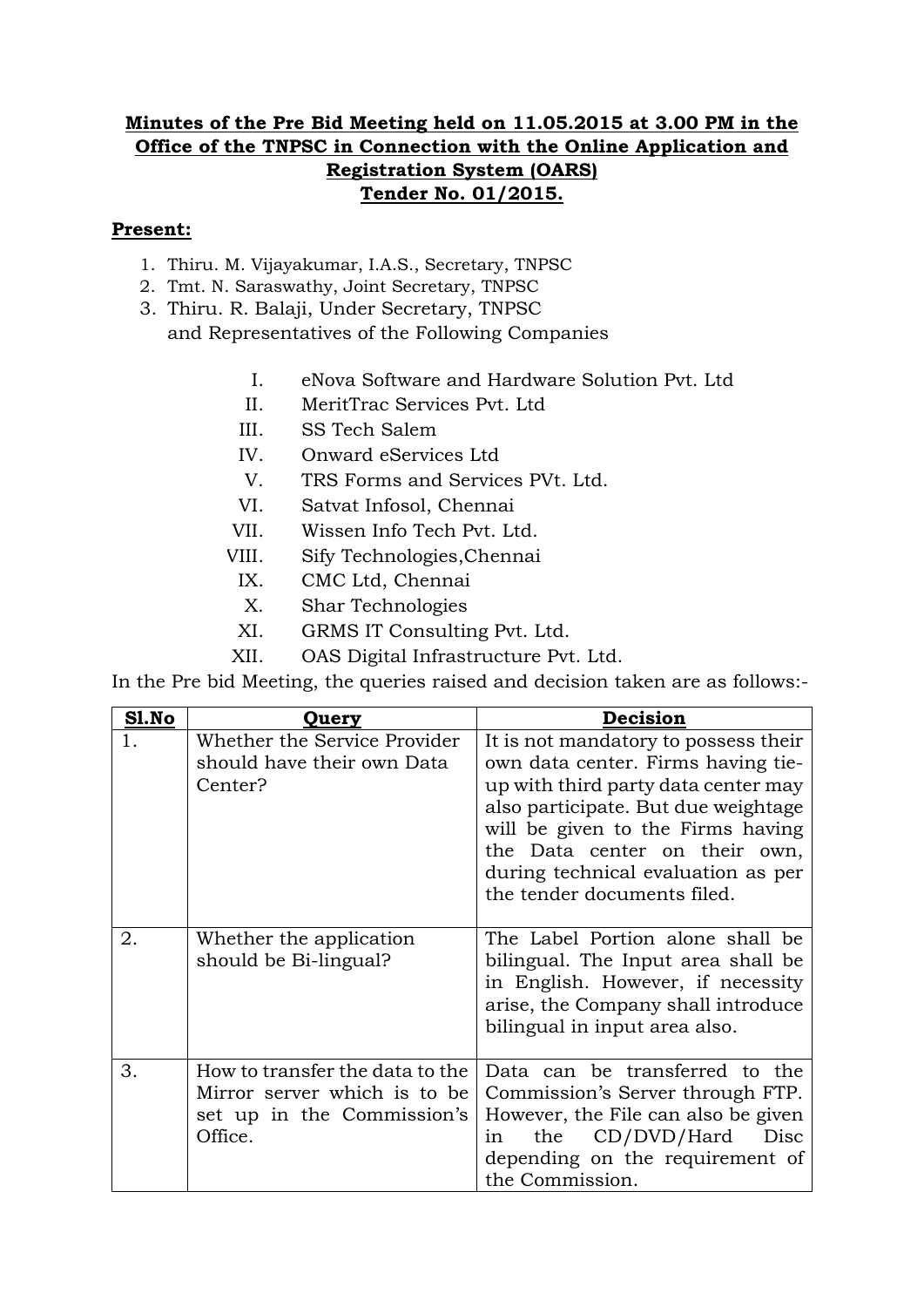## **Minutes of the Pre Bid Meeting held on 11.05.2015 at 3.00 PM in the Office of the TNPSC in Connection with the Online Application and Registration System (OARS) Tender No. 01/2015.**

## **Present:**

- 1. Thiru. M. Vijayakumar, I.A.S., Secretary, TNPSC
- 2. Tmt. N. Saraswathy, Joint Secretary, TNPSC
- 3. Thiru. R. Balaji, Under Secretary, TNPSC and Representatives of the Following Companies
	- I. eNova Software and Hardware Solution Pvt. Ltd
	- II. MeritTrac Services Pvt. Ltd
	- III. SS Tech Salem
	- IV. Onward eServices Ltd
	- V. TRS Forms and Services PVt. Ltd.
	- VI. Satvat Infosol, Chennai
	- VII. Wissen Info Tech Pvt. Ltd.
	- VIII. Sify Technologies,Chennai
	- IX. CMC Ltd, Chennai
	- X. Shar Technologies
	- XI. GRMS IT Consulting Pvt. Ltd.
	- XII. OAS Digital Infrastructure Pvt. Ltd.

In the Pre bid Meeting, the queries raised and decision taken are as follows:-

| Sl.No | Query                                                                                                    | Decision                                                                                                                                                                                                                                                                                            |
|-------|----------------------------------------------------------------------------------------------------------|-----------------------------------------------------------------------------------------------------------------------------------------------------------------------------------------------------------------------------------------------------------------------------------------------------|
|       | Whether the Service Provider<br>should have their own Data<br>Center?                                    | It is not mandatory to possess their<br>own data center. Firms having tie-<br>up with third party data center may<br>also participate. But due weightage<br>will be given to the Firms having<br>the Data center on their own,<br>during technical evaluation as per<br>the tender documents filed. |
| 2.    | Whether the application<br>should be Bi-lingual?                                                         | The Label Portion alone shall be<br>bilingual. The Input area shall be<br>in English. However, if necessity<br>arise, the Company shall introduce<br>bilingual in input area also.                                                                                                                  |
| 3.    | How to transfer the data to the<br>Mirror server which is to be<br>set up in the Commission's<br>Office. | Data can be transferred to the<br>Commission's Server through FTP.<br>However, the File can also be given<br>the CD/DVD/Hard<br>Disc<br>1n<br>depending on the requirement of<br>the Commission.                                                                                                    |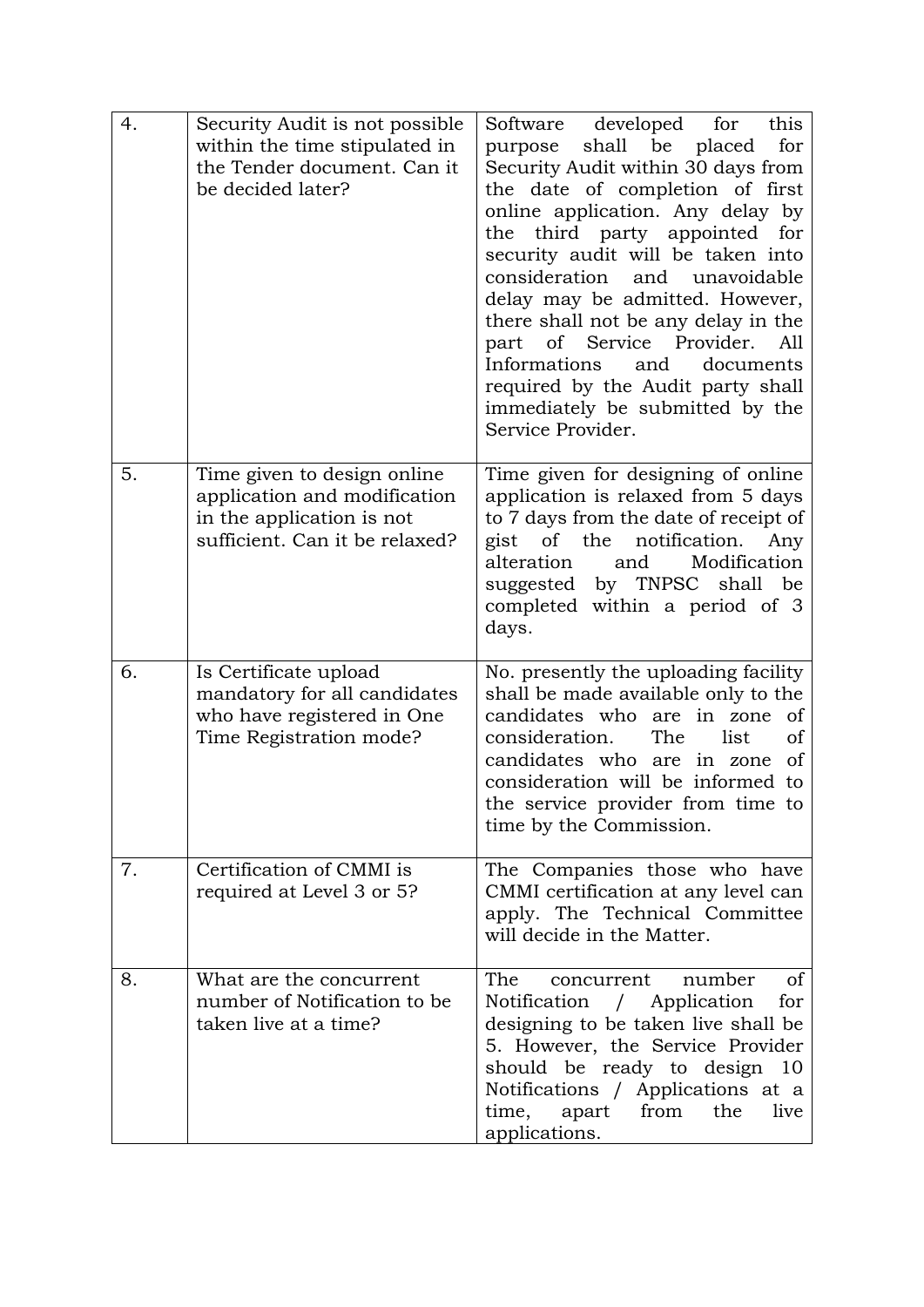| 4. | Security Audit is not possible<br>within the time stipulated in<br>the Tender document. Can it<br>be decided later?        | developed<br>for<br>this<br>Software<br>shall be placed<br>for<br>purpose<br>Security Audit within 30 days from<br>the date of completion of first<br>online application. Any delay by<br>the third party appointed<br>for<br>security audit will be taken into<br>consideration and unavoidable<br>delay may be admitted. However,<br>there shall not be any delay in the<br>part of Service Provider.<br>All<br>Informations<br>and<br>documents<br>required by the Audit party shall<br>immediately be submitted by the<br>Service Provider. |
|----|----------------------------------------------------------------------------------------------------------------------------|-------------------------------------------------------------------------------------------------------------------------------------------------------------------------------------------------------------------------------------------------------------------------------------------------------------------------------------------------------------------------------------------------------------------------------------------------------------------------------------------------------------------------------------------------|
| 5. | Time given to design online<br>application and modification<br>in the application is not<br>sufficient. Can it be relaxed? | Time given for designing of online<br>application is relaxed from 5 days<br>to 7 days from the date of receipt of<br>of the<br>gist<br>notification.<br>Any<br>Modification<br>alteration<br>and<br>suggested by TNPSC shall be<br>completed within a period of 3<br>days.                                                                                                                                                                                                                                                                      |
| 6. | Is Certificate upload<br>mandatory for all candidates<br>who have registered in One<br>Time Registration mode?             | No. presently the uploading facility<br>shall be made available only to the<br>candidates who are in zone<br><sub>of</sub><br>consideration.<br>The<br>list<br>οf<br>candidates who are in zone<br><sub>of</sub><br>consideration will be informed to<br>the service provider from time to<br>time by the Commission.                                                                                                                                                                                                                           |
| 7. | Certification of CMMI is<br>required at Level 3 or 5?                                                                      | The Companies those who have<br>CMMI certification at any level can<br>apply. The Technical Committee<br>will decide in the Matter.                                                                                                                                                                                                                                                                                                                                                                                                             |
| 8. | What are the concurrent<br>number of Notification to be<br>taken live at a time?                                           | The<br>number<br>οf<br>concurrent<br>Notification / Application<br>for<br>designing to be taken live shall be<br>5. However, the Service Provider<br>should be ready to design 10<br>Notifications / Applications at a<br>from<br>time,<br>apart<br>the<br>live<br>applications.                                                                                                                                                                                                                                                                |